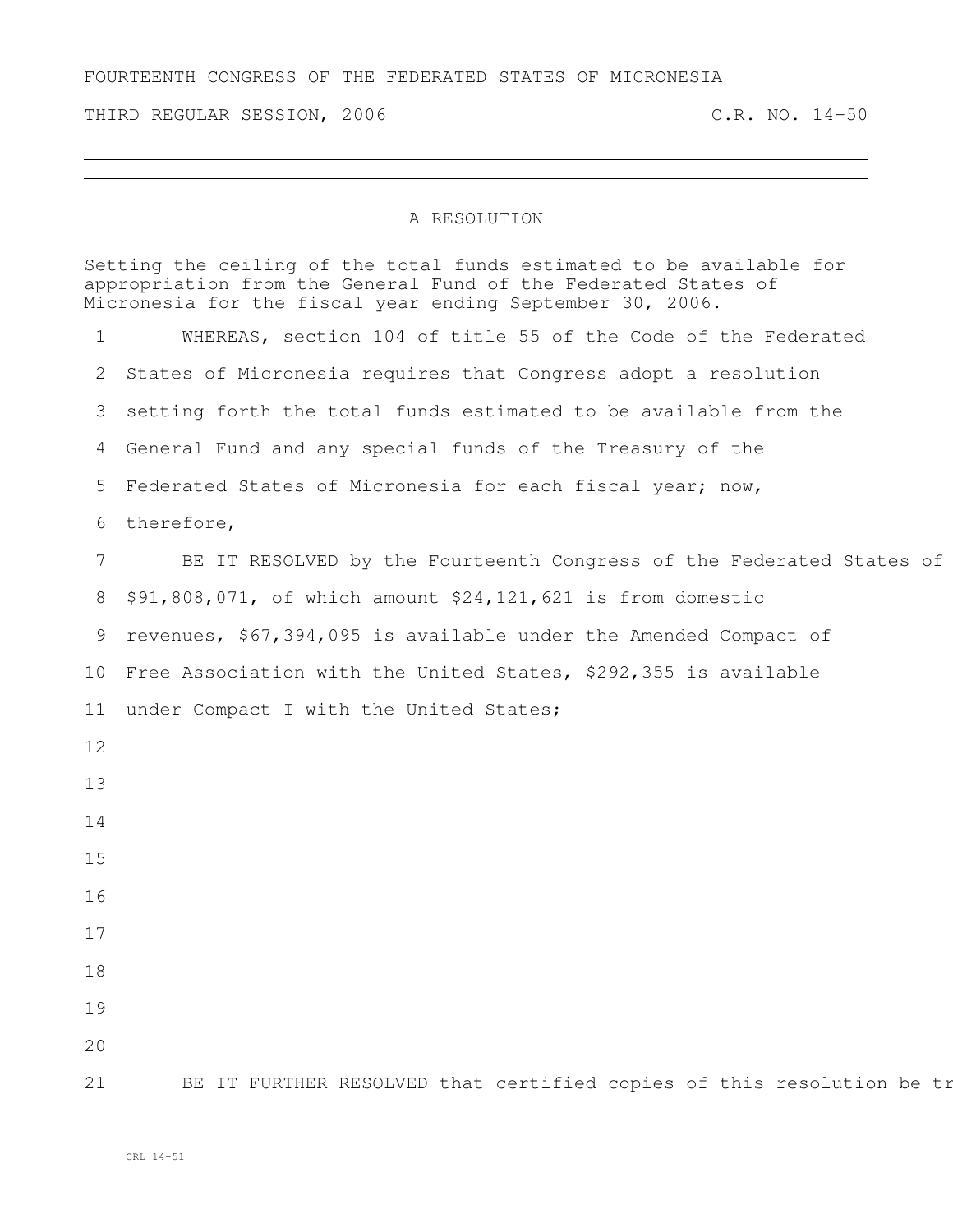## FOURTEENTH CONGRESS OF THE FEDERATED STATES OF MICRONESIA

THIRD REGULAR SESSION, 2006 C.R. NO. 14-50

## A RESOLUTION

|    | Setting the ceiling of the total funds estimated to be available for<br>appropriation from the General Fund of the Federated States of<br>Micronesia for the fiscal year ending September 30, 2006. |
|----|-----------------------------------------------------------------------------------------------------------------------------------------------------------------------------------------------------|
|    | WHEREAS, section 104 of title 55 of the Code of the Federated                                                                                                                                       |
|    | 2 States of Micronesia requires that Congress adopt a resolution                                                                                                                                    |
|    | 3 setting forth the total funds estimated to be available from the                                                                                                                                  |
|    | 4 General Fund and any special funds of the Treasury of the                                                                                                                                         |
|    | 5 Federated States of Micronesia for each fiscal year; now,                                                                                                                                         |
|    | 6 therefore,                                                                                                                                                                                        |
|    | BE IT RESOLVED by the Fourteenth Congress of the Federated States of                                                                                                                                |
|    | 8 \$91,808,071, of which amount \$24,121,621 is from domestic                                                                                                                                       |
|    | 9 revenues, \$67,394,095 is available under the Amended Compact of                                                                                                                                  |
|    | 10 Free Association with the United States, \$292,355 is available                                                                                                                                  |
|    | 11 under Compact I with the United States;                                                                                                                                                          |
| 12 |                                                                                                                                                                                                     |
| 13 |                                                                                                                                                                                                     |
| 14 |                                                                                                                                                                                                     |
| 15 |                                                                                                                                                                                                     |
| 16 |                                                                                                                                                                                                     |
| 17 |                                                                                                                                                                                                     |
| 18 |                                                                                                                                                                                                     |
| 19 |                                                                                                                                                                                                     |
| 20 |                                                                                                                                                                                                     |
| 21 | BE IT FURTHER RESOLVED that certified copies of this resolution be tr                                                                                                                               |